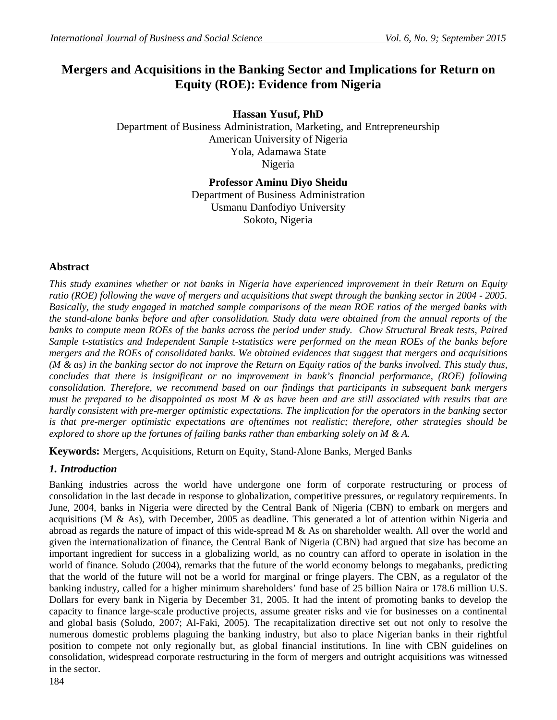# **Mergers and Acquisitions in the Banking Sector and Implications for Return on Equity (ROE): Evidence from Nigeria**

**Hassan Yusuf, PhD** Department of Business Administration, Marketing, and Entrepreneurship American University of Nigeria Yola, Adamawa State Nigeria

> **Professor Aminu Diyo Sheidu** Department of Business Administration Usmanu Danfodiyo University Sokoto, Nigeria

# **Abstract**

*This study examines whether or not banks in Nigeria have experienced improvement in their Return on Equity ratio (ROE) following the wave of mergers and acquisitions that swept through the banking sector in 2004 - 2005. Basically, the study engaged in matched sample comparisons of the mean ROE ratios of the merged banks with the stand-alone banks before and after consolidation. Study data were obtained from the annual reports of the banks to compute mean ROEs of the banks across the period under study. Chow Structural Break tests, Paired Sample t-statistics and Independent Sample t-statistics were performed on the mean ROEs of the banks before mergers and the ROEs of consolidated banks. We obtained evidences that suggest that mergers and acquisitions (M & as) in the banking sector do not improve the Return on Equity ratios of the banks involved. This study thus, concludes that there is insignificant or no improvement in bank's financial performance, (ROE) following consolidation. Therefore, we recommend based on our findings that participants in subsequent bank mergers must be prepared to be disappointed as most M & as have been and are still associated with results that are hardly consistent with pre-merger optimistic expectations. The implication for the operators in the banking sector is that pre-merger optimistic expectations are oftentimes not realistic; therefore, other strategies should be explored to shore up the fortunes of failing banks rather than embarking solely on M & A.*

**Keywords:** Mergers, Acquisitions, Return on Equity, Stand-Alone Banks, Merged Banks

## *1. Introduction*

Banking industries across the world have undergone one form of corporate restructuring or process of consolidation in the last decade in response to globalization, competitive pressures, or regulatory requirements. In June, 2004, banks in Nigeria were directed by the Central Bank of Nigeria (CBN) to embark on mergers and acquisitions (M & As), with December, 2005 as deadline. This generated a lot of attention within Nigeria and abroad as regards the nature of impact of this wide-spread M & As on shareholder wealth. All over the world and given the internationalization of finance, the Central Bank of Nigeria (CBN) had argued that size has become an important ingredient for success in a globalizing world, as no country can afford to operate in isolation in the world of finance. Soludo (2004), remarks that the future of the world economy belongs to megabanks, predicting that the world of the future will not be a world for marginal or fringe players. The CBN, as a regulator of the banking industry, called for a higher minimum shareholders' fund base of 25 billion Naira or 178.6 million U.S. Dollars for every bank in Nigeria by December 31, 2005. It had the intent of promoting banks to develop the capacity to finance large-scale productive projects, assume greater risks and vie for businesses on a continental and global basis (Soludo, 2007; Al-Faki, 2005). The recapitalization directive set out not only to resolve the numerous domestic problems plaguing the banking industry, but also to place Nigerian banks in their rightful position to compete not only regionally but, as global financial institutions. In line with CBN guidelines on consolidation, widespread corporate restructuring in the form of mergers and outright acquisitions was witnessed in the sector.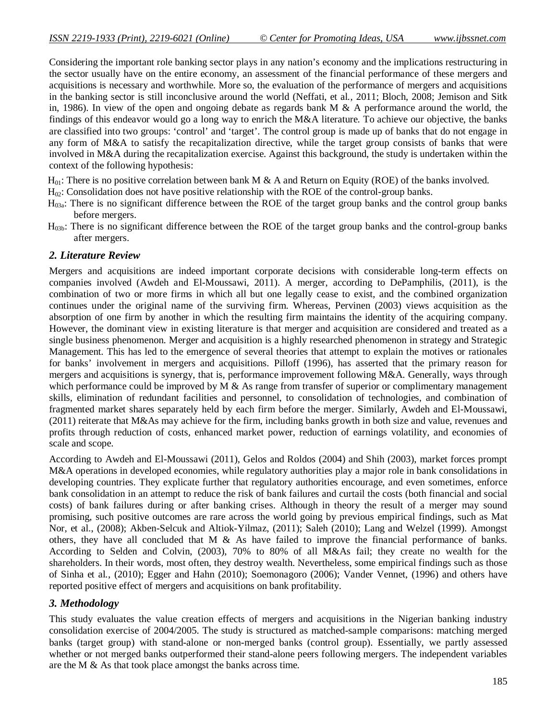Considering the important role banking sector plays in any nation's economy and the implications restructuring in the sector usually have on the entire economy, an assessment of the financial performance of these mergers and acquisitions is necessary and worthwhile. More so, the evaluation of the performance of mergers and acquisitions in the banking sector is still inconclusive around the world (Neffati, et al*.*, 2011; Bloch, 2008; Jemison and Sitk in, 1986). In view of the open and ongoing debate as regards bank M  $\&$  A performance around the world, the findings of this endeavor would go a long way to enrich the M&A literature. To achieve our objective, the banks are classified into two groups: 'control' and 'target'. The control group is made up of banks that do not engage in any form of M&A to satisfy the recapitalization directive, while the target group consists of banks that were involved in M&A during the recapitalization exercise. Against this background, the study is undertaken within the context of the following hypothesis:

 $H_{01}$ : There is no positive correlation between bank M & A and Return on Equity (ROE) of the banks involved.

- $H_{02}$ : Consolidation does not have positive relationship with the ROE of the control-group banks.
- $H_{03a}$ : There is no significant difference between the ROE of the target group banks and the control group banks before mergers.
- H03b: There is no significant difference between the ROE of the target group banks and the control-group banks after mergers.

### *2. Literature Review*

Mergers and acquisitions are indeed important corporate decisions with considerable long-term effects on companies involved (Awdeh and El-Moussawi, 2011). A merger, according to DePamphilis, (2011), is the combination of two or more firms in which all but one legally cease to exist, and the combined organization continues under the original name of the surviving firm. Whereas, Pervinen (2003) views acquisition as the absorption of one firm by another in which the resulting firm maintains the identity of the acquiring company. However, the dominant view in existing literature is that merger and acquisition are considered and treated as a single business phenomenon. Merger and acquisition is a highly researched phenomenon in strategy and Strategic Management. This has led to the emergence of several theories that attempt to explain the motives or rationales for banks' involvement in mergers and acquisitions. Pilloff (1996), has asserted that the primary reason for mergers and acquisitions is synergy, that is, performance improvement following M&A. Generally, ways through which performance could be improved by M  $\&$  As range from transfer of superior or complimentary management skills, elimination of redundant facilities and personnel, to consolidation of technologies, and combination of fragmented market shares separately held by each firm before the merger. Similarly, Awdeh and El-Moussawi, (2011) reiterate that M&As may achieve for the firm, including banks growth in both size and value, revenues and profits through reduction of costs, enhanced market power, reduction of earnings volatility, and economies of scale and scope.

According to Awdeh and El-Moussawi (2011), Gelos and Roldos (2004) and Shih (2003), market forces prompt M&A operations in developed economies, while regulatory authorities play a major role in bank consolidations in developing countries. They explicate further that regulatory authorities encourage, and even sometimes, enforce bank consolidation in an attempt to reduce the risk of bank failures and curtail the costs (both financial and social costs) of bank failures during or after banking crises. Although in theory the result of a merger may sound promising, such positive outcomes are rare across the world going by previous empirical findings, such as Mat Nor, et al., (2008); Akben-Selcuk and Altiok-Yilmaz, (2011); Saleh (2010); Lang and Welzel (1999). Amongst others, they have all concluded that M & As have failed to improve the financial performance of banks. According to Selden and Colvin, (2003), 70% to 80% of all M&As fail; they create no wealth for the shareholders. In their words, most often, they destroy wealth. Nevertheless, some empirical findings such as those of Sinha et al*.*, (2010); Egger and Hahn (2010); Soemonagoro (2006); Vander Vennet, (1996) and others have reported positive effect of mergers and acquisitions on bank profitability.

### *3. Methodology*

This study evaluates the value creation effects of mergers and acquisitions in the Nigerian banking industry consolidation exercise of 2004/2005. The study is structured as matched-sample comparisons: matching merged banks (target group) with stand-alone or non-merged banks (control group). Essentially, we partly assessed whether or not merged banks outperformed their stand-alone peers following mergers. The independent variables are the M & As that took place amongst the banks across time.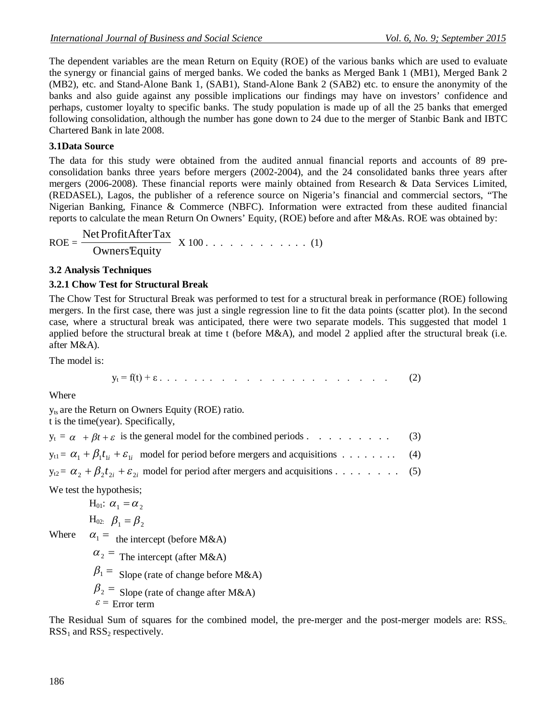The dependent variables are the mean Return on Equity (ROE) of the various banks which are used to evaluate the synergy or financial gains of merged banks. We coded the banks as Merged Bank 1 (MB1), Merged Bank 2 (MB2), etc. and Stand-Alone Bank 1, (SAB1), Stand-Alone Bank 2 (SAB2) etc. to ensure the anonymity of the banks and also guide against any possible implications our findings may have on investors' confidence and perhaps, customer loyalty to specific banks. The study population is made up of all the 25 banks that emerged following consolidation, although the number has gone down to 24 due to the merger of Stanbic Bank and IBTC Chartered Bank in late 2008.

### **3.1Data Source**

The data for this study were obtained from the audited annual financial reports and accounts of 89 preconsolidation banks three years before mergers (2002-2004), and the 24 consolidated banks three years after mergers (2006-2008). These financial reports were mainly obtained from Research & Data Services Limited, (REDASEL), Lagos, the publisher of a reference source on Nigeria's financial and commercial sectors, "The Nigerian Banking, Finance & Commerce (NBFC). Information were extracted from these audited financial reports to calculate the mean Return On Owners' Equity, (ROE) before and after M&As. ROE was obtained by:

$$
ROE = \frac{Net ProfitAfterTax}{OwnersEquity} \quad X \, 100 \ldots \ldots \ldots \ldots \ldots \ldots \tag{1}
$$

### **3.2 Analysis Techniques**

### **3.2.1 Chow Test for Structural Break**

The Chow Test for Structural Break was performed to test for a structural break in performance (ROE) following mergers. In the first case, there was just a single regression line to fit the data points (scatter plot). In the second case, where a structural break was anticipated, there were two separate models. This suggested that model 1 applied before the structural break at time t (before M&A), and model 2 applied after the structural break (i.e. after M&A).

The model is:

$$
y_t = f(t) + \varepsilon \quad \dots \quad \dots \quad \dots \quad \dots \quad \dots \quad \dots \quad \dots \quad \dots \quad \dots \quad (2)
$$

Where

yts are the Return on Owners Equity (ROE) ratio.

t is the time(year). Specifically,

We test the hypothesis;

$$
H_{01}: \alpha_1 = \alpha_2
$$
  
H<sub>02</sub>  $\beta_1 = \beta_2$ 

 $H_{02:}$   $\beta_1 = \beta_2$ 

Where  $\alpha_1 = \text{ the intercept (before M&A)}$ 

 $\alpha_2$  = The intercept (after M&A)

 $\beta_1$  = Slope (rate of change before M&A)

 $\beta_2$  = Slope (rate of change after M&A)

 $\epsilon$  = Error term

The Residual Sum of squares for the combined model, the pre-merger and the post-merger models are:  $RSS_{c}$ .  $RSS<sub>1</sub>$  and  $RSS<sub>2</sub>$  respectively.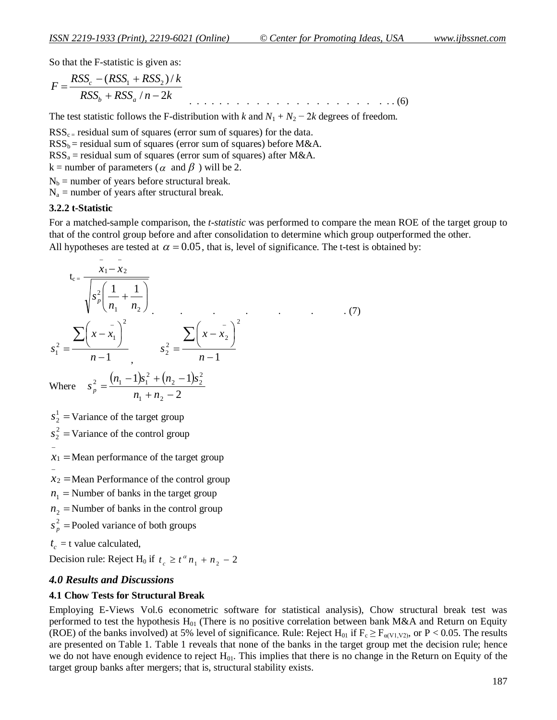So that the F-statistic is given as:

$$
F = \frac{RSS_c - (RSS_1 + RSS_2)/k}{RSS_b + RSS_a/n - 2k}
$$
 (6)

The test statistic follows the F-distribution with *k* and  $N_1 + N_2 - 2k$  degrees of freedom.

 $RSS_{c}$  residual sum of squares (error sum of squares) for the data.

 $RSS_b$  = residual sum of squares (error sum of squares) before M&A.

 $RSS<sub>a</sub> = residual sum of squares (error sum of squares) after M&A.$ 

k = number of parameters ( $\alpha$  and  $\beta$ ) will be 2.

 $N_b$  = number of years before structural break.

 $N_a$  = number of years after structural break.

#### **3.2.2 t-Statistic**

For a matched-sample comparison, the *t-statistic* was performed to compare the mean ROE of the target group to that of the control group before and after consolidation to determine which group outperformed the other.

All hypotheses are tested at  $\alpha = 0.05$ , that is, level of significance. The t-test is obtained by:

$$
t_{c} = \frac{\overline{x_1 - x_2}}{\sqrt{s_p^2 \left(\frac{1}{n_1} + \frac{1}{n_2}\right)}}
$$
  
\n
$$
s_1^2 = \frac{\sum (x - \overline{x_1})^2}{n - 1}, \qquad s_2^2 = \frac{\sum (x - \overline{x_2})^2}{n - 1}
$$
  
\nWhere  $s_p^2 = \frac{(n_1 - 1)s_1^2 + (n_2 - 1)s_2^2}{n_1 + n_2 - 2}$   
\n $s_2^1 = \text{Variance of the target group}$   
\n $s_2^2 = \text{Variance of the control group}$ 

 $x_1$  = Mean performance of the target group

 $x_2$  = Mean Performance of the control group

- $n_1$  = Number of banks in the target group
- $n_2$  = Number of banks in the control group
- $\frac{2}{p}$  =  $s_p^2$  = Pooled variance of both groups

 $t_c$  = t value calculated,

 $\overline{a}$ 

Decision rule: Reject H<sub>0</sub> if  $t_c \geq t^{\alpha} n_1 + n_2 - 2$ 

#### *4.0 Results and Discussions*

#### **4.1 Chow Tests for Structural Break**

Employing E-Views Vol.6 econometric software for statistical analysis), Chow structural break test was performed to test the hypothesis  $H_{01}$  (There is no positive correlation between bank M&A and Return on Equity (ROE) of the banks involved) at 5% level of significance. Rule: Reject H<sub>01</sub> if  $F_c \ge F_{\alpha(V1,V2)}$ , or P < 0.05. The results are presented on Table 1. Table 1 reveals that none of the banks in the target group met the decision rule; hence we do not have enough evidence to reject  $H_{01}$ . This implies that there is no change in the Return on Equity of the target group banks after mergers; that is, structural stability exists.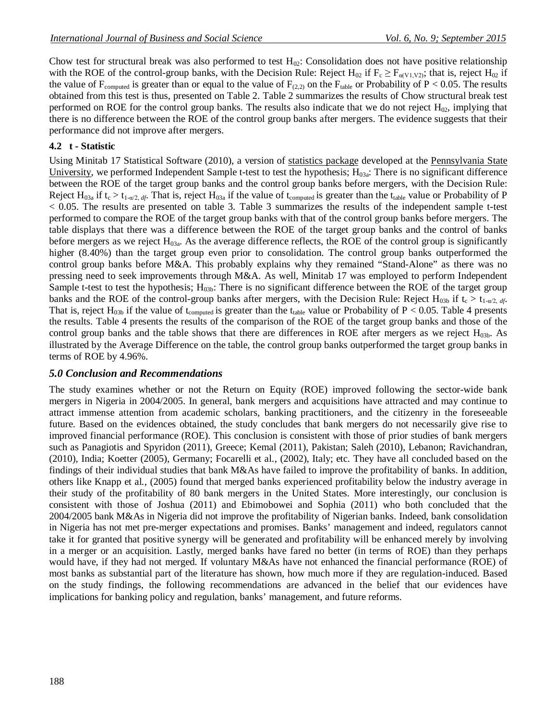Chow test for structural break was also performed to test  $H_{02}$ : Consolidation does not have positive relationship with the ROE of the control-group banks, with the Decision Rule: Reject H<sub>02</sub> if  $F_c \geq F_{\alpha(V1,V2)}$ ; that is, reject H<sub>02</sub> if the value of  $F_{\text{computed}}$  is greater than or equal to the value of  $F_{(2,2)}$  on the  $F_{\text{table}}$  or Probability of P < 0.05. The results obtained from this test is thus, presented on Table 2. Table 2 summarizes the results of Chow structural break test performed on ROE for the control group banks. The results also indicate that we do not reject  $H_{02}$ , implying that there is no difference between the ROE of the control group banks after mergers. The evidence suggests that their performance did not improve after mergers.

### **4.2 t - Statistic**

Using Minitab 17 Statistical Software (2010), a version of statistics package developed at the Pennsylvania State University, we performed Independent Sample t-test to test the hypothesis;  $H_{03a}$ : There is no significant difference between the ROE of the target group banks and the control group banks before mergers, with the Decision Rule: Reject H<sub>03a</sub> if  $t_c > t_{1-\alpha/2, df}$ . That is, reject H<sub>03a</sub> if the value of  $t_{\text{computed}}$  is greater than the  $t_{\text{table}}$  value or Probability of P < 0.05. The results are presented on table 3. Table 3 summarizes the results of the independent sample t-test performed to compare the ROE of the target group banks with that of the control group banks before mergers. The table displays that there was a difference between the ROE of the target group banks and the control of banks before mergers as we reject  $H_{03a}$ . As the average difference reflects, the ROE of the control group is significantly higher (8.40%) than the target group even prior to consolidation. The control group banks outperformed the control group banks before M&A. This probably explains why they remained "Stand-Alone" as there was no pressing need to seek improvements through M&A. As well, Minitab 17 was employed to perform Independent Sample t-test to test the hypothesis;  $H<sub>03b</sub>$ : There is no significant difference between the ROE of the target group banks and the ROE of the control-group banks after mergers, with the Decision Rule: Reject  $H_{03b}$  if  $t_c > t_{1-0/2}$ , *df*. That is, reject  $H_{03b}$  if the value of t<sub>computed</sub> is greater than the t<sub>table</sub> value or Probability of P < 0.05. Table 4 presents the results. Table 4 presents the results of the comparison of the ROE of the target group banks and those of the control group banks and the table shows that there are differences in ROE after mergers as we reject  $H_{03b}$ . As illustrated by the Average Difference on the table, the control group banks outperformed the target group banks in terms of ROE by 4.96%.

### *5.0 Conclusion and Recommendations*

The study examines whether or not the Return on Equity (ROE) improved following the sector-wide bank mergers in Nigeria in 2004/2005. In general, bank mergers and acquisitions have attracted and may continue to attract immense attention from academic scholars, banking practitioners, and the citizenry in the foreseeable future. Based on the evidences obtained, the study concludes that bank mergers do not necessarily give rise to improved financial performance (ROE). This conclusion is consistent with those of prior studies of bank mergers such as Panagiotis and Spyridon (2011), Greece; Kemal (2011), Pakistan; Saleh (2010), Lebanon; Ravichandran, (2010), India; Koetter (2005), Germany; Focarelli et al*.*, (2002), Italy; etc. They have all concluded based on the findings of their individual studies that bank M&As have failed to improve the profitability of banks. In addition, others like Knapp et al*.*, (2005) found that merged banks experienced profitability below the industry average in their study of the profitability of 80 bank mergers in the United States. More interestingly, our conclusion is consistent with those of Joshua (2011) and Ebimobowei and Sophia (2011) who both concluded that the 2004/2005 bank M&As in Nigeria did not improve the profitability of Nigerian banks. Indeed, bank consolidation in Nigeria has not met pre-merger expectations and promises. Banks' management and indeed, regulators cannot take it for granted that positive synergy will be generated and profitability will be enhanced merely by involving in a merger or an acquisition. Lastly, merged banks have fared no better (in terms of ROE) than they perhaps would have, if they had not merged. If voluntary M&As have not enhanced the financial performance (ROE) of most banks as substantial part of the literature has shown, how much more if they are regulation-induced. Based on the study findings, the following recommendations are advanced in the belief that our evidences have implications for banking policy and regulation, banks' management, and future reforms.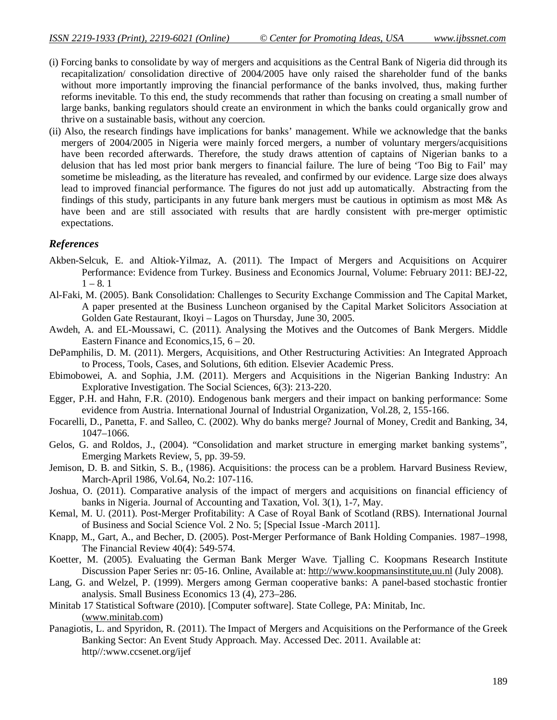- (i) Forcing banks to consolidate by way of mergers and acquisitions as the Central Bank of Nigeria did through its recapitalization/ consolidation directive of 2004/2005 have only raised the shareholder fund of the banks without more importantly improving the financial performance of the banks involved, thus, making further reforms inevitable. To this end, the study recommends that rather than focusing on creating a small number of large banks, banking regulators should create an environment in which the banks could organically grow and thrive on a sustainable basis, without any coercion.
- (ii) Also, the research findings have implications for banks' management. While we acknowledge that the banks mergers of 2004/2005 in Nigeria were mainly forced mergers, a number of voluntary mergers/acquisitions have been recorded afterwards. Therefore, the study draws attention of captains of Nigerian banks to a delusion that has led most prior bank mergers to financial failure. The lure of being 'Too Big to Fail' may sometime be misleading, as the literature has revealed, and confirmed by our evidence. Large size does always lead to improved financial performance. The figures do not just add up automatically. Abstracting from the findings of this study, participants in any future bank mergers must be cautious in optimism as most M& As have been and are still associated with results that are hardly consistent with pre-merger optimistic expectations.

### *References*

- Akben-Selcuk, E. and Altiok-Yilmaz, A. (2011). The Impact of Mergers and Acquisitions on Acquirer Performance: Evidence from Turkey. Business and Economics Journal, Volume: February 2011: BEJ-22,  $1 - 8.1$
- Al-Faki, M. (2005). Bank Consolidation: Challenges to Security Exchange Commission and The Capital Market, A paper presented at the Business Luncheon organised by the Capital Market Solicitors Association at Golden Gate Restaurant, Ikoyi – Lagos on Thursday, June 30, 2005.
- Awdeh, A. and EL-Moussawi, C. (2011). Analysing the Motives and the Outcomes of Bank Mergers. Middle Eastern Finance and Economics,15, 6 – 20.
- DePamphilis, D. M. (2011). Mergers, Acquisitions, and Other Restructuring Activities: An Integrated Approach to Process, Tools, Cases, and Solutions, 6th edition. Elsevier Academic Press.
- Ebimobowei, A. and Sophia, J.M. (2011). Mergers and Acquisitions in the Nigerian Banking Industry: An Explorative Investigation. The Social Sciences, 6(3): 213-220.
- Egger, P.H. and Hahn, F.R. (2010). Endogenous bank mergers and their impact on banking performance: Some evidence from Austria. International Journal of Industrial Organization, Vol.28, 2, 155-166.
- Focarelli, D., Panetta, F. and Salleo, C. (2002). Why do banks merge? Journal of Money, Credit and Banking, 34, 1047–1066.
- Gelos, G. and Roldos, J., (2004). "Consolidation and market structure in emerging market banking systems", Emerging Markets Review, 5, pp. 39-59.
- Jemison, D. B. and Sitkin, S. B., (1986). Acquisitions: the process can be a problem. Harvard Business Review, March-April 1986, Vol.64, No.2: 107-116.
- Joshua, O. (2011). Comparative analysis of the impact of mergers and acquisitions on financial efficiency of banks in Nigeria. Journal of Accounting and Taxation, Vol. 3(1), 1-7, May.
- Kemal, M. U. (2011). Post-Merger Profitability: A Case of Royal Bank of Scotland (RBS). International Journal of Business and Social Science Vol. 2 No. 5; [Special Issue -March 2011].
- Knapp, M., Gart, A., and Becher, D. (2005). Post-Merger Performance of Bank Holding Companies. 1987–1998, The Financial Review 40(4): 549-574.
- Koetter, M. (2005). Evaluating the German Bank Merger Wave. Tjalling C. Koopmans Research Institute Discussion Paper Series nr: 05-16. Online, Available at: http://www.koopmansinstitute,uu.nl (July 2008).
- Lang, G. and Welzel, P. (1999). Mergers among German cooperative banks: A panel-based stochastic frontier analysis. Small Business Economics 13 (4), 273–286.
- Minitab 17 Statistical Software (2010). [Computer software]. State College, PA: Minitab, Inc. (www.minitab.com)
- Panagiotis, L. and Spyridon, R. (2011). The Impact of Mergers and Acquisitions on the Performance of the Greek Banking Sector: An Event Study Approach. May. Accessed Dec. 2011. Available at: http//:www.ccsenet.org/ijef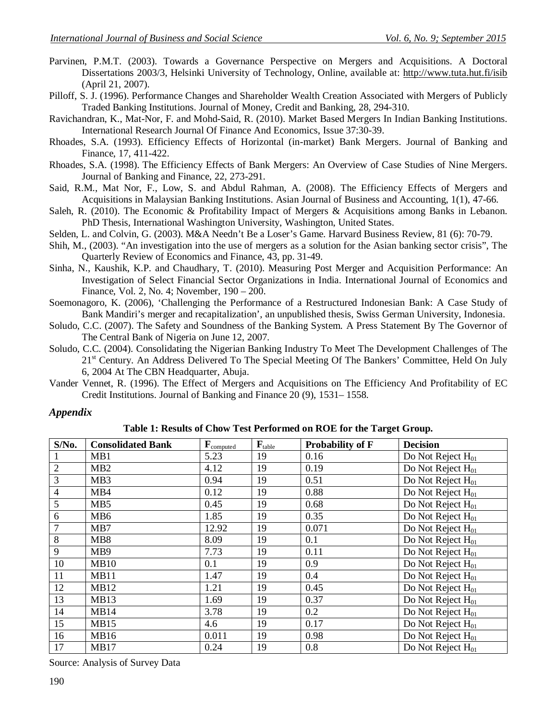- Parvinen, P.M.T. (2003). Towards a Governance Perspective on Mergers and Acquisitions. A Doctoral Dissertations 2003/3, Helsinki University of Technology, Online, available at: http://www.tuta.hut.fi/isib (April 21, 2007).
- Pilloff, S. J. (1996). Performance Changes and Shareholder Wealth Creation Associated with Mergers of Publicly Traded Banking Institutions. Journal of Money, Credit and Banking, 28, 294-310.
- Ravichandran, K., Mat-Nor, F. and Mohd-Said, R. (2010). Market Based Mergers In Indian Banking Institutions. International Research Journal Of Finance And Economics, Issue 37:30-39.
- Rhoades, S.A. (1993). Efficiency Effects of Horizontal (in-market) Bank Mergers. Journal of Banking and Finance, 17, 411-422.
- Rhoades, S.A. (1998). The Efficiency Effects of Bank Mergers: An Overview of Case Studies of Nine Mergers. Journal of Banking and Finance, 22, 273-291.
- Said, R.M., Mat Nor, F., Low, S. and Abdul Rahman, A. (2008). The Efficiency Effects of Mergers and Acquisitions in Malaysian Banking Institutions. Asian Journal of Business and Accounting, 1(1), 47-66.
- Saleh, R. (2010). The Economic & Profitability Impact of Mergers & Acquisitions among Banks in Lebanon. PhD Thesis, International Washington University, Washington, United States.
- Selden, L. and Colvin, G. (2003). M&A Needn't Be a Loser's Game. Harvard Business Review, 81 (6): 70-79.
- Shih, M., (2003). "An investigation into the use of mergers as a solution for the Asian banking sector crisis", The Quarterly Review of Economics and Finance, 43, pp. 31-49.
- Sinha, N., Kaushik, K.P. and Chaudhary, T. (2010). Measuring Post Merger and Acquisition Performance: An Investigation of Select Financial Sector Organizations in India. International Journal of Economics and Finance, Vol. 2, No. 4; November, 190 – 200.
- Soemonagoro, K. (2006), 'Challenging the Performance of a Restructured Indonesian Bank: A Case Study of Bank Mandiri's merger and recapitalization', an unpublished thesis, Swiss German University, Indonesia.
- Soludo, C.C. (2007). The Safety and Soundness of the Banking System. A Press Statement By The Governor of The Central Bank of Nigeria on June 12, 2007.
- Soludo, C.C. (2004). Consolidating the Nigerian Banking Industry To Meet The Development Challenges of The 21<sup>st</sup> Century. An Address Delivered To The Special Meeting Of The Bankers' Committee, Held On July 6, 2004 At The CBN Headquarter, Abuja.
- Vander Vennet, R. (1996). The Effect of Mergers and Acquisitions on The Efficiency And Profitability of EC Credit Institutions. Journal of Banking and Finance 20 (9), 1531– 1558.

### *Appendix*

**Table 1: Results of Chow Test Performed on ROE for the Target Group.**

| $S/N0$ .       | <b>Consolidated Bank</b> | $\mathbf{F}_{\text{computed}}$ | $\mathbf{F}_{table}$ | <b>Probability of F</b> | <b>Decision</b>                     |
|----------------|--------------------------|--------------------------------|----------------------|-------------------------|-------------------------------------|
|                | MB1                      | 5.23                           | 19                   | 0.16                    | Do Not Reject $H_{01}$              |
| $\overline{2}$ | MB2                      | 4.12                           | 19                   | 0.19                    | Do Not Reject H <sub>01</sub>       |
| 3              | MB <sub>3</sub>          | 0.94                           | 19                   | 0.51                    | Do Not Reject H <sub>01</sub>       |
| $\overline{4}$ | MB4                      | 0.12                           | 19                   | 0.88                    | Do Not Reject $H_{01}$              |
| 5              | MB5                      | 0.45                           | 19                   | 0.68                    | $\overline{Do}$ Not Reject $H_{01}$ |
| 6              | MB <sub>6</sub>          | 1.85                           | 19                   | 0.35                    | Do Not Reject $H_{01}$              |
| 7              | MB7                      | 12.92                          | 19                   | 0.071                   | Do Not Reject $H_{01}$              |
| 8              | MB8                      | 8.09                           | 19                   | 0.1                     | $\overline{Do}$ Not Reject $H_{01}$ |
| 9              | MB9                      | 7.73                           | 19                   | 0.11                    | Do Not Reject $H_{01}$              |
| 10             | MB10                     | 0.1                            | 19                   | 0.9                     | Do Not Reject $H_{01}$              |
| 11             | MB11                     | 1.47                           | 19                   | 0.4                     | Do Not Reject $H_{01}$              |
| 12             | <b>MB12</b>              | 1.21                           | 19                   | 0.45                    | Do Not Reject $H_{01}$              |
| 13             | <b>MB13</b>              | 1.69                           | 19                   | 0.37                    | $\overline{Do}$ Not Reject $H_{01}$ |
| 14             | MB14                     | 3.78                           | 19                   | 0.2                     | $\overline{Do}$ Not Reject $H_{01}$ |
| 15             | MB15                     | 4.6                            | 19                   | 0.17                    | Do Not Reject $H_{01}$              |
| 16             | <b>MB16</b>              | 0.011                          | 19                   | 0.98                    | $\overline{Do}$ Not Reject $H_{01}$ |
| 17             | MB17                     | 0.24                           | 19                   | 0.8                     | $\overline{Do}$ Not Reject $H_{01}$ |

Source: Analysis of Survey Data